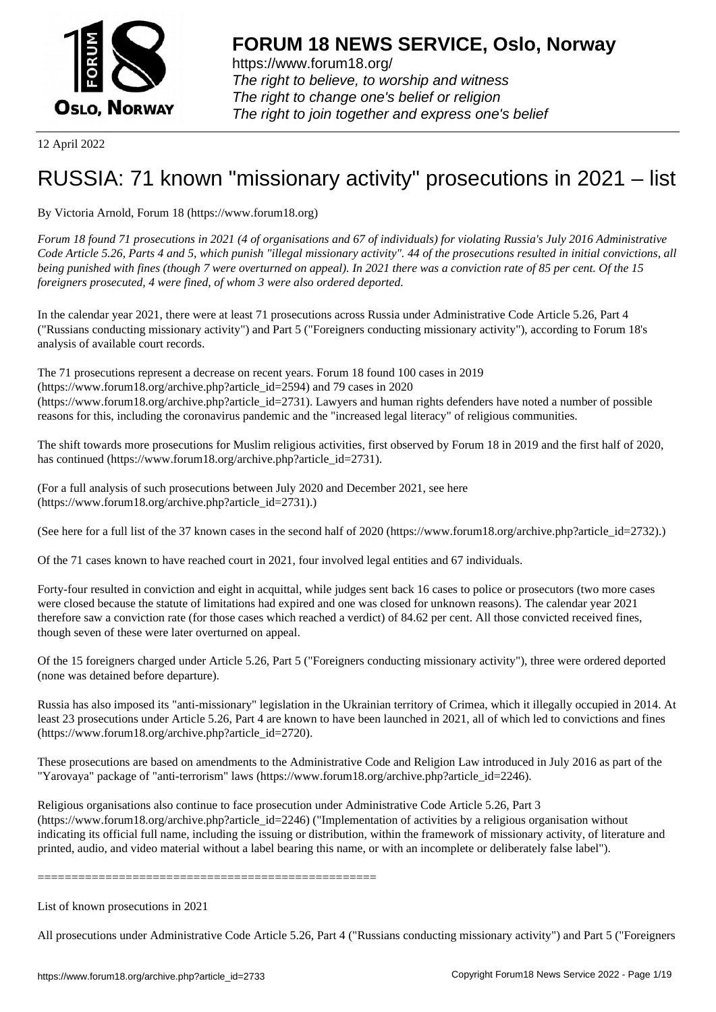

12 April 2022

## [RUSSIA: 71 kno](https://www.forum18.org)wn "missionary activity" prosecutions in 2021 – list

By Victoria Arnold, Forum 18 (https://www.forum18.org)

*Forum 18 found 71 prosecutions in 2021 (4 of organisations and 67 of individuals) for violating Russia's July 2016 Administrative Code Article 5.26, Parts 4 and 5, which punish "illegal missionary activity". 44 of the prosecutions resulted in initial convictions, all being punished with fines (though 7 were overturned on appeal). In 2021 there was a conviction rate of 85 per cent. Of the 15 foreigners prosecuted, 4 were fined, of whom 3 were also ordered deported.*

In the calendar year 2021, there were at least 71 prosecutions across Russia under Administrative Code Article 5.26, Part 4 ("Russians conducting missionary activity") and Part 5 ("Foreigners conducting missionary activity"), according to Forum 18's analysis of available court records.

The 71 prosecutions represent a decrease on recent years. Forum 18 found 100 cases in 2019 (https://www.forum18.org/archive.php?article\_id=2594) and 79 cases in 2020 (https://www.forum18.org/archive.php?article\_id=2731). Lawyers and human rights defenders have noted a number of possible reasons for this, including the coronavirus pandemic and the "increased legal literacy" of religious communities.

The shift towards more prosecutions for Muslim religious activities, first observed by Forum 18 in 2019 and the first half of 2020, has continued (https://www.forum18.org/archive.php?article\_id=2731).

(For a full analysis of such prosecutions between July 2020 and December 2021, see here (https://www.forum18.org/archive.php?article\_id=2731).)

(See here for a full list of the 37 known cases in the second half of 2020 (https://www.forum18.org/archive.php?article\_id=2732).)

Of the 71 cases known to have reached court in 2021, four involved legal entities and 67 individuals.

Forty-four resulted in conviction and eight in acquittal, while judges sent back 16 cases to police or prosecutors (two more cases were closed because the statute of limitations had expired and one was closed for unknown reasons). The calendar year 2021 therefore saw a conviction rate (for those cases which reached a verdict) of 84.62 per cent. All those convicted received fines, though seven of these were later overturned on appeal.

Of the 15 foreigners charged under Article 5.26, Part 5 ("Foreigners conducting missionary activity"), three were ordered deported (none was detained before departure).

Russia has also imposed its "anti-missionary" legislation in the Ukrainian territory of Crimea, which it illegally occupied in 2014. At least 23 prosecutions under Article 5.26, Part 4 are known to have been launched in 2021, all of which led to convictions and fines (https://www.forum18.org/archive.php?article\_id=2720).

These prosecutions are based on amendments to the Administrative Code and Religion Law introduced in July 2016 as part of the "Yarovaya" package of "anti-terrorism" laws (https://www.forum18.org/archive.php?article\_id=2246).

Religious organisations also continue to face prosecution under Administrative Code Article 5.26, Part 3 (https://www.forum18.org/archive.php?article\_id=2246) ("Implementation of activities by a religious organisation without indicating its official full name, including the issuing or distribution, within the framework of missionary activity, of literature and printed, audio, and video material without a label bearing this name, or with an incomplete or deliberately false label").

==================================================

List of known prosecutions in 2021

All prosecutions under Administrative Code Article 5.26, Part 4 ("Russians conducting missionary activity") and Part 5 ("Foreigners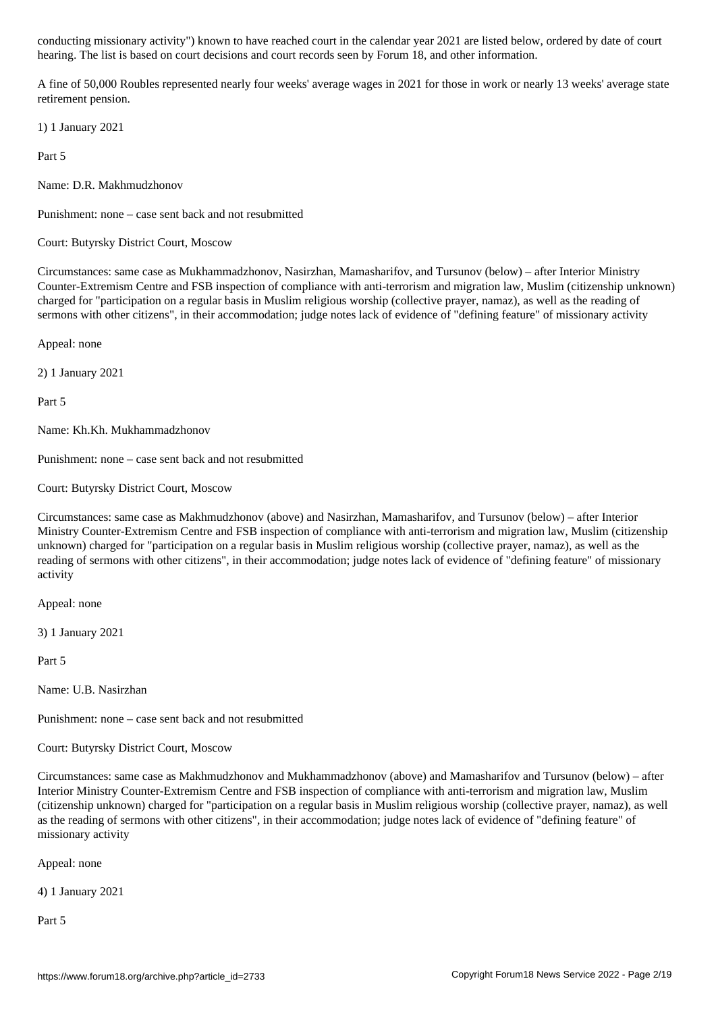hearing. The list is based on court decisions and court records seen by Forum 18, and other information.

A fine of 50,000 Roubles represented nearly four weeks' average wages in 2021 for those in work or nearly 13 weeks' average state retirement pension.

1) 1 January 2021

Part 5

Name: D.R. Makhmudzhonov

Punishment: none – case sent back and not resubmitted

Court: Butyrsky District Court, Moscow

Circumstances: same case as Mukhammadzhonov, Nasirzhan, Mamasharifov, and Tursunov (below) – after Interior Ministry Counter-Extremism Centre and FSB inspection of compliance with anti-terrorism and migration law, Muslim (citizenship unknown) charged for "participation on a regular basis in Muslim religious worship (collective prayer, namaz), as well as the reading of sermons with other citizens", in their accommodation; judge notes lack of evidence of "defining feature" of missionary activity

Appeal: none

2) 1 January 2021

Part 5

Name: Kh.Kh. Mukhammadzhonov

Punishment: none – case sent back and not resubmitted

Court: Butyrsky District Court, Moscow

Circumstances: same case as Makhmudzhonov (above) and Nasirzhan, Mamasharifov, and Tursunov (below) – after Interior Ministry Counter-Extremism Centre and FSB inspection of compliance with anti-terrorism and migration law, Muslim (citizenship unknown) charged for "participation on a regular basis in Muslim religious worship (collective prayer, namaz), as well as the reading of sermons with other citizens", in their accommodation; judge notes lack of evidence of "defining feature" of missionary activity

Appeal: none

3) 1 January 2021

Part 5

Name: U.B. Nasirzhan

Punishment: none – case sent back and not resubmitted

Court: Butyrsky District Court, Moscow

Circumstances: same case as Makhmudzhonov and Mukhammadzhonov (above) and Mamasharifov and Tursunov (below) – after Interior Ministry Counter-Extremism Centre and FSB inspection of compliance with anti-terrorism and migration law, Muslim (citizenship unknown) charged for "participation on a regular basis in Muslim religious worship (collective prayer, namaz), as well as the reading of sermons with other citizens", in their accommodation; judge notes lack of evidence of "defining feature" of missionary activity

Appeal: none

4) 1 January 2021

Part 5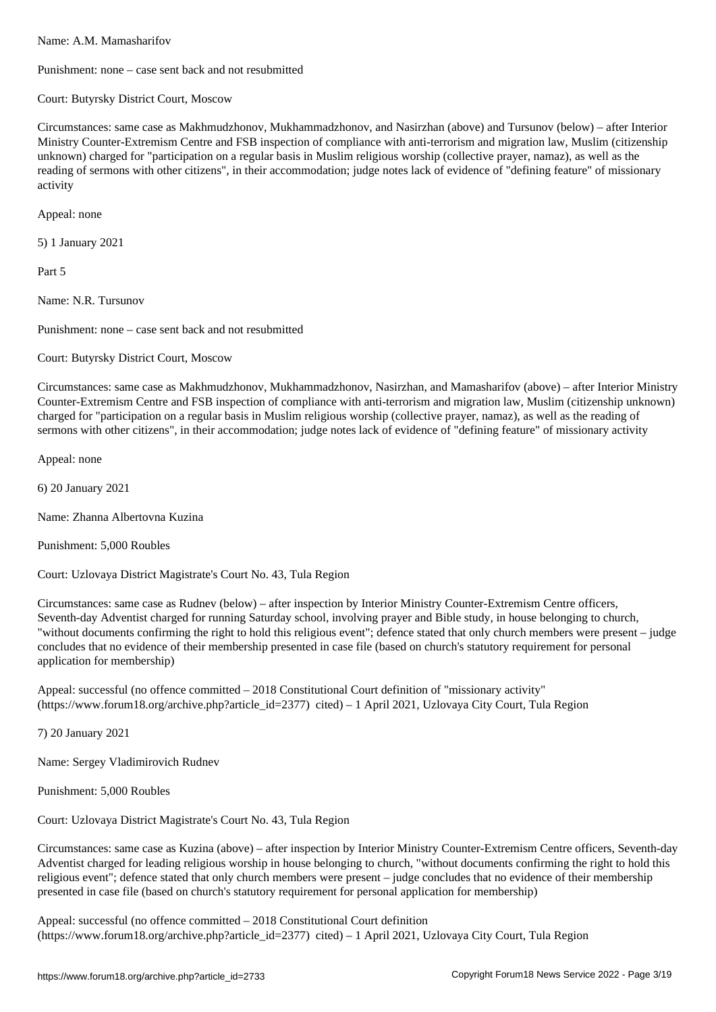Punishment: none – case sent back and not resubmitted

Court: Butyrsky District Court, Moscow

Circumstances: same case as Makhmudzhonov, Mukhammadzhonov, and Nasirzhan (above) and Tursunov (below) – after Interior Ministry Counter-Extremism Centre and FSB inspection of compliance with anti-terrorism and migration law, Muslim (citizenship unknown) charged for "participation on a regular basis in Muslim religious worship (collective prayer, namaz), as well as the reading of sermons with other citizens", in their accommodation; judge notes lack of evidence of "defining feature" of missionary activity

Appeal: none

5) 1 January 2021

Part 5

Name: N.R. Tursunov

Punishment: none – case sent back and not resubmitted

Court: Butyrsky District Court, Moscow

Circumstances: same case as Makhmudzhonov, Mukhammadzhonov, Nasirzhan, and Mamasharifov (above) – after Interior Ministry Counter-Extremism Centre and FSB inspection of compliance with anti-terrorism and migration law, Muslim (citizenship unknown) charged for "participation on a regular basis in Muslim religious worship (collective prayer, namaz), as well as the reading of sermons with other citizens", in their accommodation; judge notes lack of evidence of "defining feature" of missionary activity

Appeal: none

6) 20 January 2021

Name: Zhanna Albertovna Kuzina

Punishment: 5,000 Roubles

Court: Uzlovaya District Magistrate's Court No. 43, Tula Region

Circumstances: same case as Rudnev (below) – after inspection by Interior Ministry Counter-Extremism Centre officers, Seventh-day Adventist charged for running Saturday school, involving prayer and Bible study, in house belonging to church, "without documents confirming the right to hold this religious event"; defence stated that only church members were present – judge concludes that no evidence of their membership presented in case file (based on church's statutory requirement for personal application for membership)

Appeal: successful (no offence committed – 2018 Constitutional Court definition of "missionary activity" (https://www.forum18.org/archive.php?article\_id=2377) cited) – 1 April 2021, Uzlovaya City Court, Tula Region

7) 20 January 2021

Name: Sergey Vladimirovich Rudnev

Punishment: 5,000 Roubles

Court: Uzlovaya District Magistrate's Court No. 43, Tula Region

Circumstances: same case as Kuzina (above) – after inspection by Interior Ministry Counter-Extremism Centre officers, Seventh-day Adventist charged for leading religious worship in house belonging to church, "without documents confirming the right to hold this religious event"; defence stated that only church members were present – judge concludes that no evidence of their membership presented in case file (based on church's statutory requirement for personal application for membership)

Appeal: successful (no offence committed – 2018 Constitutional Court definition (https://www.forum18.org/archive.php?article\_id=2377) cited) – 1 April 2021, Uzlovaya City Court, Tula Region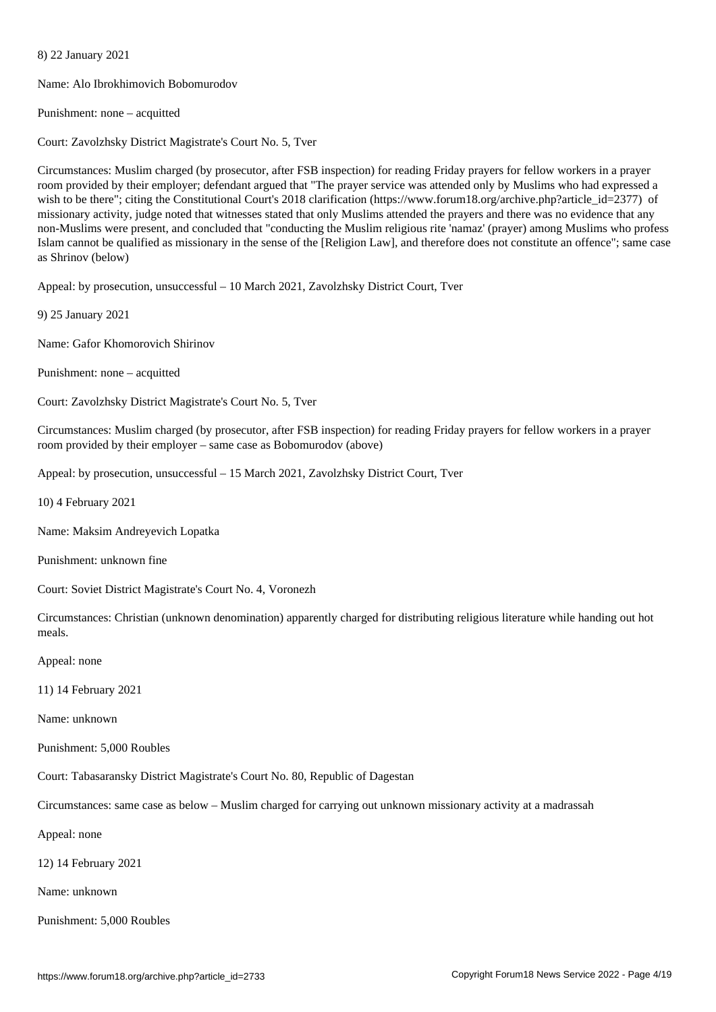Name: Alo Ibrokhimovich Bobomurodov

Punishment: none – acquitted

8) 22 January 2021

Court: Zavolzhsky District Magistrate's Court No. 5, Tver

Circumstances: Muslim charged (by prosecutor, after FSB inspection) for reading Friday prayers for fellow workers in a prayer room provided by their employer; defendant argued that "The prayer service was attended only by Muslims who had expressed a wish to be there"; citing the Constitutional Court's 2018 clarification (https://www.forum18.org/archive.php?article\_id=2377) of missionary activity, judge noted that witnesses stated that only Muslims attended the prayers and there was no evidence that any non-Muslims were present, and concluded that "conducting the Muslim religious rite 'namaz' (prayer) among Muslims who profess Islam cannot be qualified as missionary in the sense of the [Religion Law], and therefore does not constitute an offence"; same case as Shrinov (below)

Appeal: by prosecution, unsuccessful – 10 March 2021, Zavolzhsky District Court, Tver

9) 25 January 2021

Name: Gafor Khomorovich Shirinov

Punishment: none – acquitted

Court: Zavolzhsky District Magistrate's Court No. 5, Tver

Circumstances: Muslim charged (by prosecutor, after FSB inspection) for reading Friday prayers for fellow workers in a prayer room provided by their employer – same case as Bobomurodov (above)

Appeal: by prosecution, unsuccessful – 15 March 2021, Zavolzhsky District Court, Tver

10) 4 February 2021

Name: Maksim Andreyevich Lopatka

Punishment: unknown fine

Court: Soviet District Magistrate's Court No. 4, Voronezh

Circumstances: Christian (unknown denomination) apparently charged for distributing religious literature while handing out hot meals.

Appeal: none

11) 14 February 2021

Name: unknown

Punishment: 5,000 Roubles

Court: Tabasaransky District Magistrate's Court No. 80, Republic of Dagestan

Circumstances: same case as below – Muslim charged for carrying out unknown missionary activity at a madrassah

Appeal: none

12) 14 February 2021

Name: unknown

Punishment: 5,000 Roubles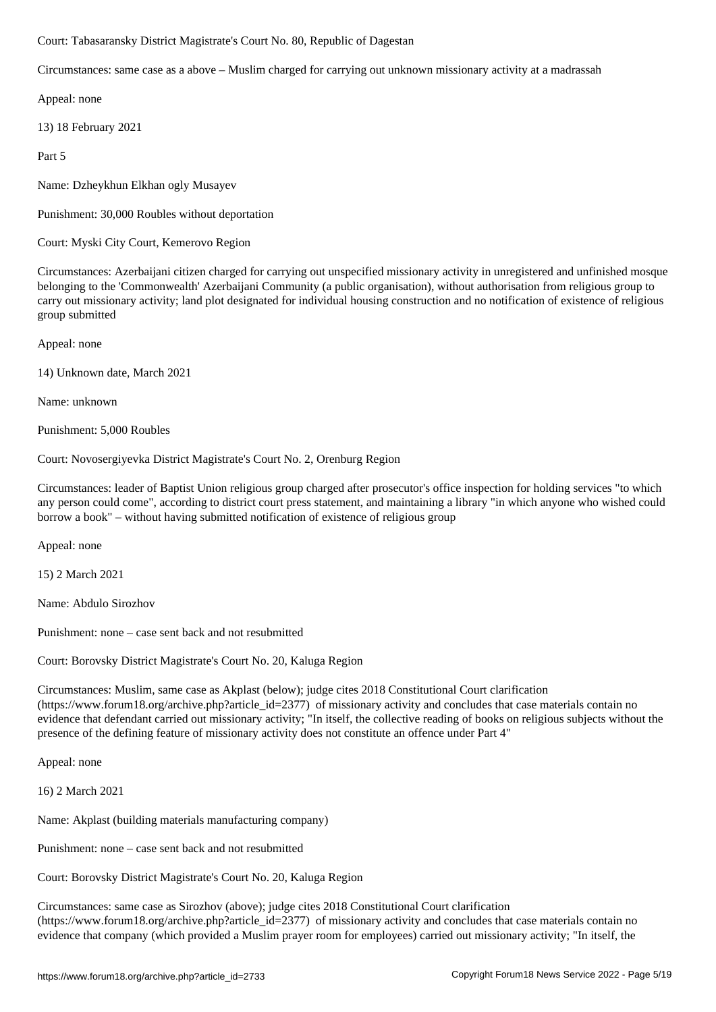Circumstances: same case as a above – Muslim charged for carrying out unknown missionary activity at a madrassah

Appeal: none

13) 18 February 2021

Part 5

Name: Dzheykhun Elkhan ogly Musayev

Punishment: 30,000 Roubles without deportation

Court: Myski City Court, Kemerovo Region

Circumstances: Azerbaijani citizen charged for carrying out unspecified missionary activity in unregistered and unfinished mosque belonging to the 'Commonwealth' Azerbaijani Community (a public organisation), without authorisation from religious group to carry out missionary activity; land plot designated for individual housing construction and no notification of existence of religious group submitted

Appeal: none

14) Unknown date, March 2021

Name: unknown

Punishment: 5,000 Roubles

Court: Novosergiyevka District Magistrate's Court No. 2, Orenburg Region

Circumstances: leader of Baptist Union religious group charged after prosecutor's office inspection for holding services "to which any person could come", according to district court press statement, and maintaining a library "in which anyone who wished could borrow a book" – without having submitted notification of existence of religious group

Appeal: none

15) 2 March 2021

Name: Abdulo Sirozhov

Punishment: none – case sent back and not resubmitted

Court: Borovsky District Magistrate's Court No. 20, Kaluga Region

Circumstances: Muslim, same case as Akplast (below); judge cites 2018 Constitutional Court clarification (https://www.forum18.org/archive.php?article\_id=2377) of missionary activity and concludes that case materials contain no evidence that defendant carried out missionary activity; "In itself, the collective reading of books on religious subjects without the presence of the defining feature of missionary activity does not constitute an offence under Part 4"

Appeal: none

16) 2 March 2021

Name: Akplast (building materials manufacturing company)

Punishment: none – case sent back and not resubmitted

Court: Borovsky District Magistrate's Court No. 20, Kaluga Region

Circumstances: same case as Sirozhov (above); judge cites 2018 Constitutional Court clarification (https://www.forum18.org/archive.php?article\_id=2377) of missionary activity and concludes that case materials contain no evidence that company (which provided a Muslim prayer room for employees) carried out missionary activity; "In itself, the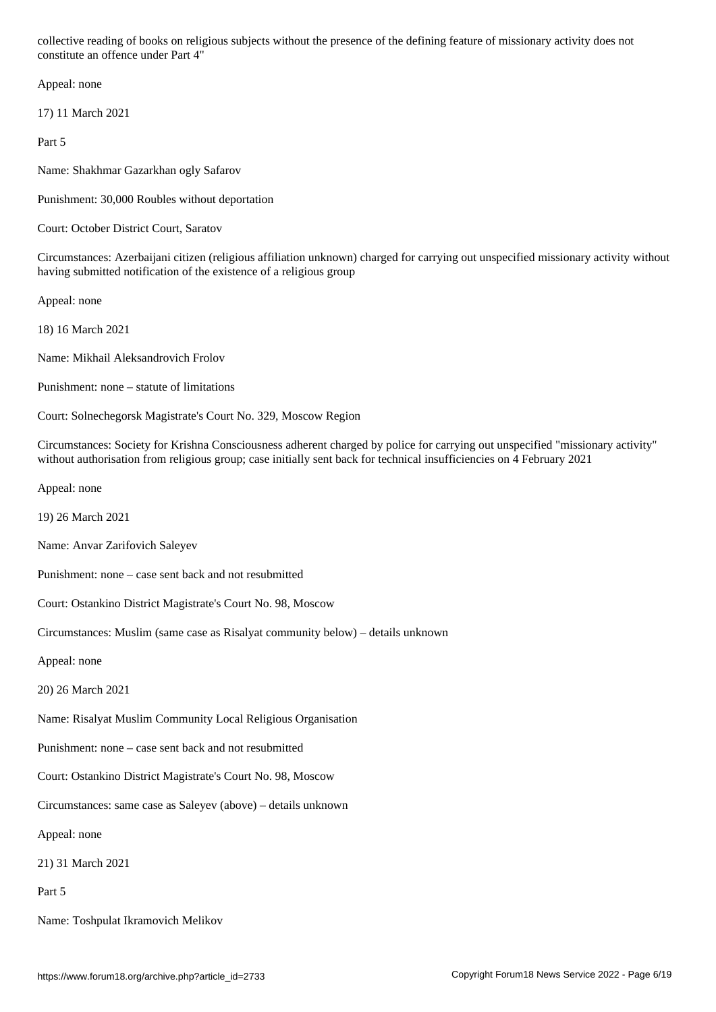Appeal: none

17) 11 March 2021

Part 5

Name: Shakhmar Gazarkhan ogly Safarov

Punishment: 30,000 Roubles without deportation

Court: October District Court, Saratov

Circumstances: Azerbaijani citizen (religious affiliation unknown) charged for carrying out unspecified missionary activity without having submitted notification of the existence of a religious group

Appeal: none

18) 16 March 2021

Name: Mikhail Aleksandrovich Frolov

Punishment: none – statute of limitations

Court: Solnechegorsk Magistrate's Court No. 329, Moscow Region

Circumstances: Society for Krishna Consciousness adherent charged by police for carrying out unspecified "missionary activity" without authorisation from religious group; case initially sent back for technical insufficiencies on 4 February 2021

Appeal: none

19) 26 March 2021

Name: Anvar Zarifovich Saleyev

Punishment: none – case sent back and not resubmitted

Court: Ostankino District Magistrate's Court No. 98, Moscow

Circumstances: Muslim (same case as Risalyat community below) – details unknown

Appeal: none

20) 26 March 2021

Name: Risalyat Muslim Community Local Religious Organisation

Punishment: none – case sent back and not resubmitted

Court: Ostankino District Magistrate's Court No. 98, Moscow

Circumstances: same case as Saleyev (above) – details unknown

Appeal: none

21) 31 March 2021

Part 5

Name: Toshpulat Ikramovich Melikov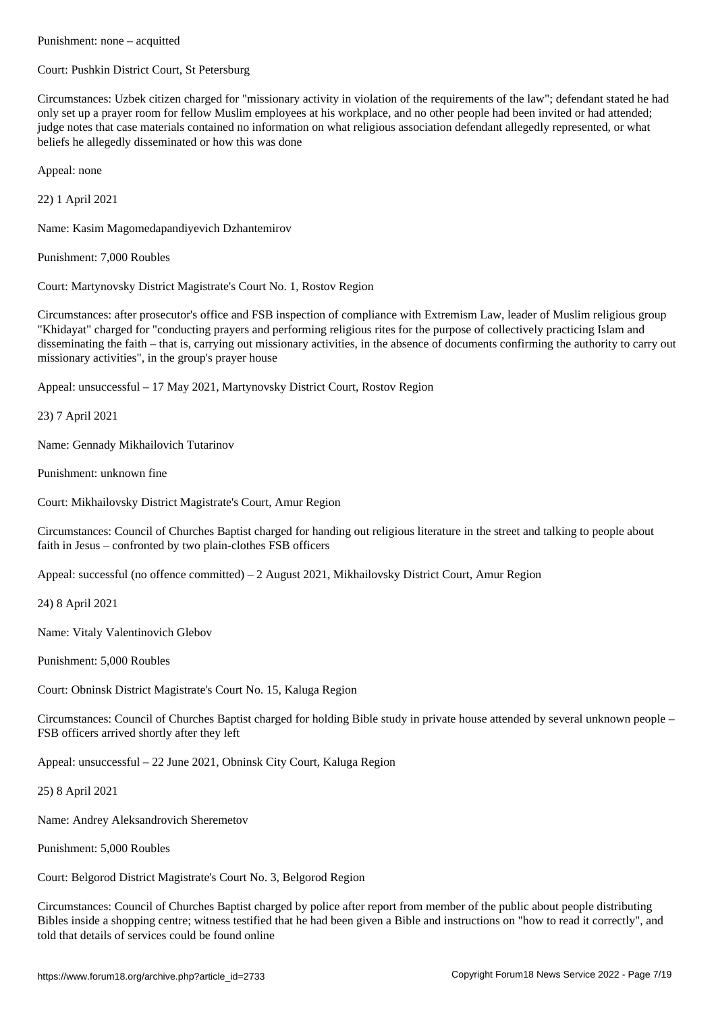Court: Pushkin District Court, St Petersburg

Circumstances: Uzbek citizen charged for "missionary activity in violation of the requirements of the law"; defendant stated he had only set up a prayer room for fellow Muslim employees at his workplace, and no other people had been invited or had attended; judge notes that case materials contained no information on what religious association defendant allegedly represented, or what beliefs he allegedly disseminated or how this was done

Appeal: none

22) 1 April 2021

Name: Kasim Magomedapandiyevich Dzhantemirov

Punishment: 7,000 Roubles

Court: Martynovsky District Magistrate's Court No. 1, Rostov Region

Circumstances: after prosecutor's office and FSB inspection of compliance with Extremism Law, leader of Muslim religious group "Khidayat" charged for "conducting prayers and performing religious rites for the purpose of collectively practicing Islam and disseminating the faith – that is, carrying out missionary activities, in the absence of documents confirming the authority to carry out missionary activities", in the group's prayer house

Appeal: unsuccessful – 17 May 2021, Martynovsky District Court, Rostov Region

23) 7 April 2021

Name: Gennady Mikhailovich Tutarinov

Punishment: unknown fine

Court: Mikhailovsky District Magistrate's Court, Amur Region

Circumstances: Council of Churches Baptist charged for handing out religious literature in the street and talking to people about faith in Jesus – confronted by two plain-clothes FSB officers

Appeal: successful (no offence committed) – 2 August 2021, Mikhailovsky District Court, Amur Region

24) 8 April 2021

Name: Vitaly Valentinovich Glebov

Punishment: 5,000 Roubles

Court: Obninsk District Magistrate's Court No. 15, Kaluga Region

Circumstances: Council of Churches Baptist charged for holding Bible study in private house attended by several unknown people – FSB officers arrived shortly after they left

Appeal: unsuccessful – 22 June 2021, Obninsk City Court, Kaluga Region

25) 8 April 2021

Name: Andrey Aleksandrovich Sheremetov

Punishment: 5,000 Roubles

Court: Belgorod District Magistrate's Court No. 3, Belgorod Region

Circumstances: Council of Churches Baptist charged by police after report from member of the public about people distributing Bibles inside a shopping centre; witness testified that he had been given a Bible and instructions on "how to read it correctly", and told that details of services could be found online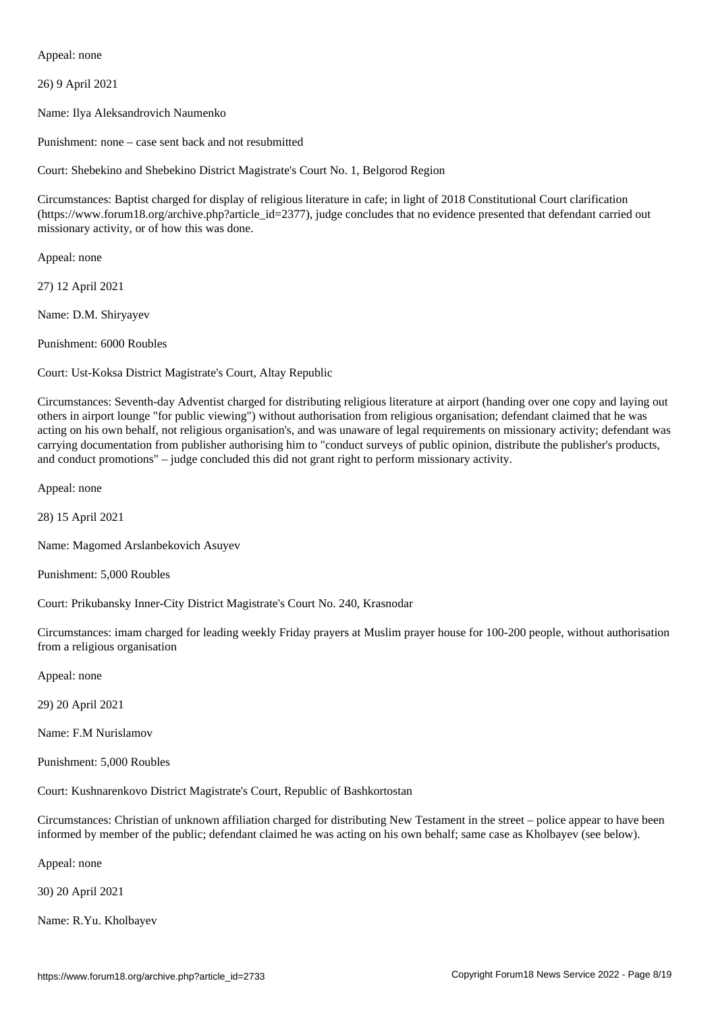Appeal: none

26) 9 April 2021

Name: Ilya Aleksandrovich Naumenko

Punishment: none – case sent back and not resubmitted

Court: Shebekino and Shebekino District Magistrate's Court No. 1, Belgorod Region

Circumstances: Baptist charged for display of religious literature in cafe; in light of 2018 Constitutional Court clarification (https://www.forum18.org/archive.php?article\_id=2377), judge concludes that no evidence presented that defendant carried out missionary activity, or of how this was done.

Appeal: none

27) 12 April 2021

Name: D.M. Shiryayev

Punishment: 6000 Roubles

Court: Ust-Koksa District Magistrate's Court, Altay Republic

Circumstances: Seventh-day Adventist charged for distributing religious literature at airport (handing over one copy and laying out others in airport lounge "for public viewing") without authorisation from religious organisation; defendant claimed that he was acting on his own behalf, not religious organisation's, and was unaware of legal requirements on missionary activity; defendant was carrying documentation from publisher authorising him to "conduct surveys of public opinion, distribute the publisher's products, and conduct promotions" – judge concluded this did not grant right to perform missionary activity.

Appeal: none

28) 15 April 2021

Name: Magomed Arslanbekovich Asuyev

Punishment: 5,000 Roubles

Court: Prikubansky Inner-City District Magistrate's Court No. 240, Krasnodar

Circumstances: imam charged for leading weekly Friday prayers at Muslim prayer house for 100-200 people, without authorisation from a religious organisation

Appeal: none

29) 20 April 2021

Name: F.M Nurislamov

Punishment: 5,000 Roubles

Court: Kushnarenkovo District Magistrate's Court, Republic of Bashkortostan

Circumstances: Christian of unknown affiliation charged for distributing New Testament in the street – police appear to have been informed by member of the public; defendant claimed he was acting on his own behalf; same case as Kholbayev (see below).

Appeal: none

30) 20 April 2021

Name: R.Yu. Kholbayev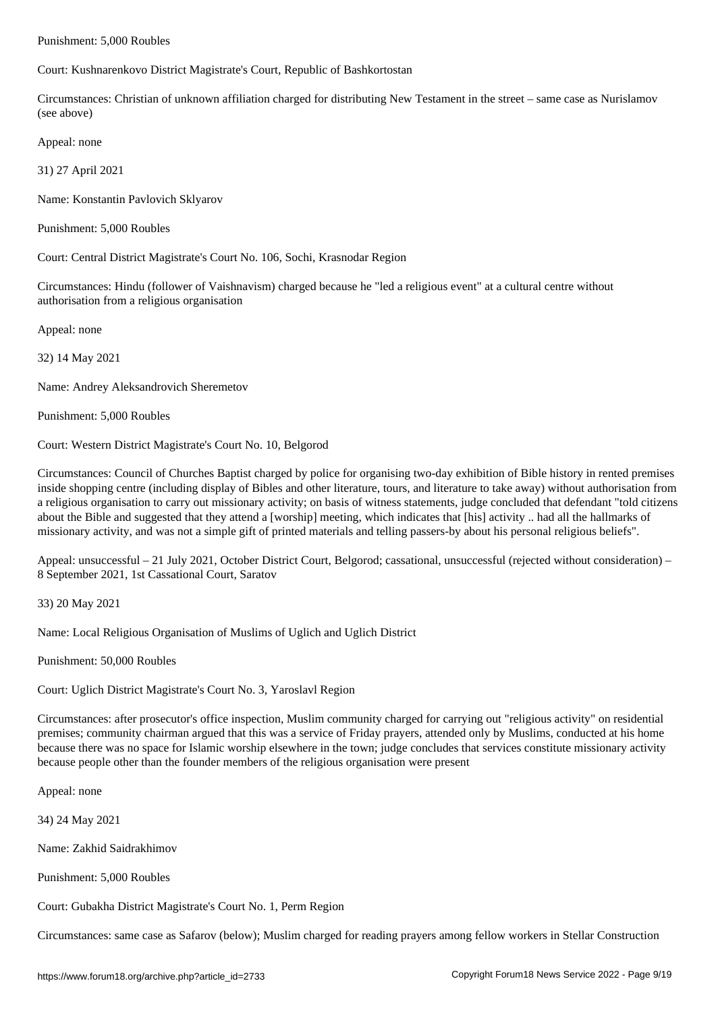Court: Kushnarenkovo District Magistrate's Court, Republic of Bashkortostan

Circumstances: Christian of unknown affiliation charged for distributing New Testament in the street – same case as Nurislamov (see above)

Appeal: none

31) 27 April 2021

Name: Konstantin Pavlovich Sklyarov

Punishment: 5,000 Roubles

Court: Central District Magistrate's Court No. 106, Sochi, Krasnodar Region

Circumstances: Hindu (follower of Vaishnavism) charged because he "led a religious event" at a cultural centre without authorisation from a religious organisation

Appeal: none

32) 14 May 2021

Name: Andrey Aleksandrovich Sheremetov

Punishment: 5,000 Roubles

Court: Western District Magistrate's Court No. 10, Belgorod

Circumstances: Council of Churches Baptist charged by police for organising two-day exhibition of Bible history in rented premises inside shopping centre (including display of Bibles and other literature, tours, and literature to take away) without authorisation from a religious organisation to carry out missionary activity; on basis of witness statements, judge concluded that defendant "told citizens about the Bible and suggested that they attend a [worship] meeting, which indicates that [his] activity .. had all the hallmarks of missionary activity, and was not a simple gift of printed materials and telling passers-by about his personal religious beliefs".

Appeal: unsuccessful – 21 July 2021, October District Court, Belgorod; cassational, unsuccessful (rejected without consideration) – 8 September 2021, 1st Cassational Court, Saratov

33) 20 May 2021

Name: Local Religious Organisation of Muslims of Uglich and Uglich District

Punishment: 50,000 Roubles

Court: Uglich District Magistrate's Court No. 3, Yaroslavl Region

Circumstances: after prosecutor's office inspection, Muslim community charged for carrying out "religious activity" on residential premises; community chairman argued that this was a service of Friday prayers, attended only by Muslims, conducted at his home because there was no space for Islamic worship elsewhere in the town; judge concludes that services constitute missionary activity because people other than the founder members of the religious organisation were present

Appeal: none

34) 24 May 2021

Name: Zakhid Saidrakhimov

Punishment: 5,000 Roubles

Court: Gubakha District Magistrate's Court No. 1, Perm Region

Circumstances: same case as Safarov (below); Muslim charged for reading prayers among fellow workers in Stellar Construction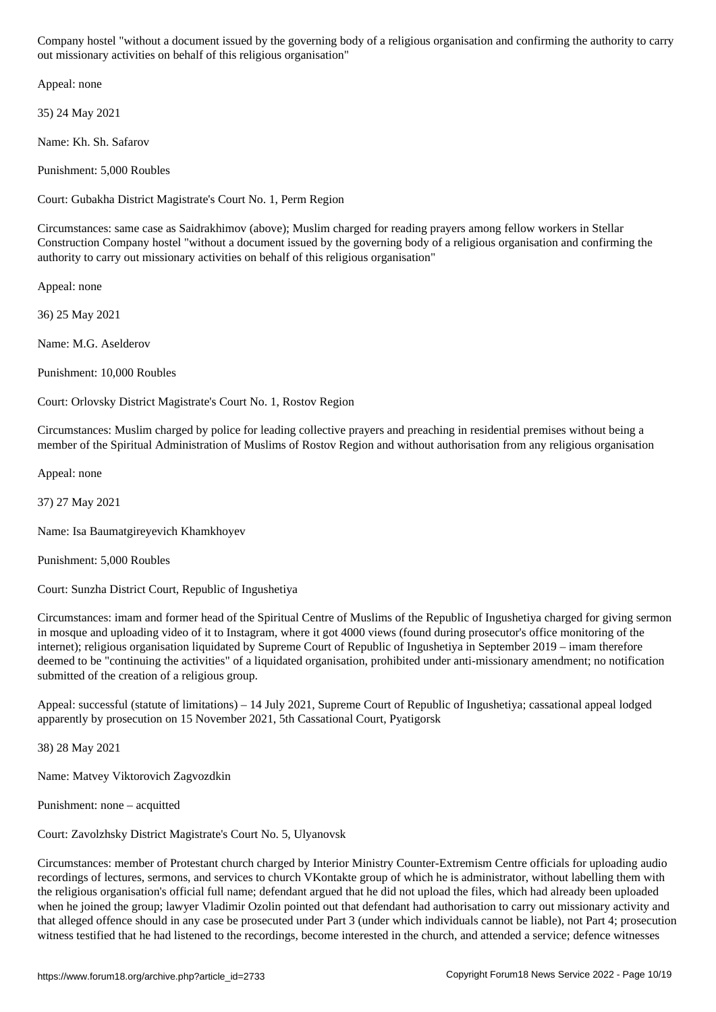out missionary activities on behalf of this religious organisation"

Appeal: none

35) 24 May 2021

Name: Kh. Sh. Safarov

Punishment: 5,000 Roubles

Court: Gubakha District Magistrate's Court No. 1, Perm Region

Circumstances: same case as Saidrakhimov (above); Muslim charged for reading prayers among fellow workers in Stellar Construction Company hostel "without a document issued by the governing body of a religious organisation and confirming the authority to carry out missionary activities on behalf of this religious organisation"

Appeal: none

36) 25 May 2021

Name: M.G. Aselderov

Punishment: 10,000 Roubles

Court: Orlovsky District Magistrate's Court No. 1, Rostov Region

Circumstances: Muslim charged by police for leading collective prayers and preaching in residential premises without being a member of the Spiritual Administration of Muslims of Rostov Region and without authorisation from any religious organisation

Appeal: none

37) 27 May 2021

Name: Isa Baumatgireyevich Khamkhoyev

Punishment: 5,000 Roubles

Court: Sunzha District Court, Republic of Ingushetiya

Circumstances: imam and former head of the Spiritual Centre of Muslims of the Republic of Ingushetiya charged for giving sermon in mosque and uploading video of it to Instagram, where it got 4000 views (found during prosecutor's office monitoring of the internet); religious organisation liquidated by Supreme Court of Republic of Ingushetiya in September 2019 – imam therefore deemed to be "continuing the activities" of a liquidated organisation, prohibited under anti-missionary amendment; no notification submitted of the creation of a religious group.

Appeal: successful (statute of limitations) – 14 July 2021, Supreme Court of Republic of Ingushetiya; cassational appeal lodged apparently by prosecution on 15 November 2021, 5th Cassational Court, Pyatigorsk

38) 28 May 2021

Name: Matvey Viktorovich Zagvozdkin

Punishment: none – acquitted

Court: Zavolzhsky District Magistrate's Court No. 5, Ulyanovsk

Circumstances: member of Protestant church charged by Interior Ministry Counter-Extremism Centre officials for uploading audio recordings of lectures, sermons, and services to church VKontakte group of which he is administrator, without labelling them with the religious organisation's official full name; defendant argued that he did not upload the files, which had already been uploaded when he joined the group; lawyer Vladimir Ozolin pointed out that defendant had authorisation to carry out missionary activity and that alleged offence should in any case be prosecuted under Part 3 (under which individuals cannot be liable), not Part 4; prosecution witness testified that he had listened to the recordings, become interested in the church, and attended a service; defence witnesses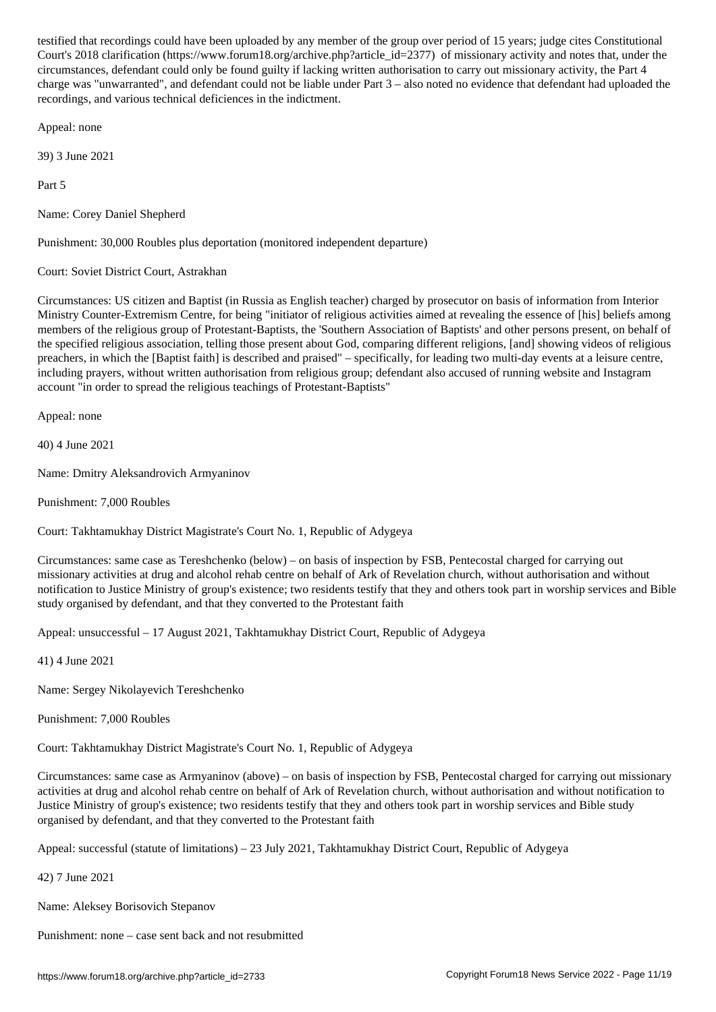$\Box$ wa.forum18.org/archive.php?article\_id=23777) of missionary activity and notes that, under the notes that, under the missionary activity activity and notes that, under the missionary activity and notes that, under the circumstances, defendant could only be found guilty if lacking written authorisation to carry out missionary activity, the Part 4 charge was "unwarranted", and defendant could not be liable under Part 3 – also noted no evidence that defendant had uploaded the recordings, and various technical deficiences in the indictment.

Appeal: none

39) 3 June 2021

Part 5

Name: Corey Daniel Shepherd

Punishment: 30,000 Roubles plus deportation (monitored independent departure)

Court: Soviet District Court, Astrakhan

Circumstances: US citizen and Baptist (in Russia as English teacher) charged by prosecutor on basis of information from Interior Ministry Counter-Extremism Centre, for being "initiator of religious activities aimed at revealing the essence of [his] beliefs among members of the religious group of Protestant-Baptists, the 'Southern Association of Baptists' and other persons present, on behalf of the specified religious association, telling those present about God, comparing different religions, [and] showing videos of religious preachers, in which the [Baptist faith] is described and praised" – specifically, for leading two multi-day events at a leisure centre, including prayers, without written authorisation from religious group; defendant also accused of running website and Instagram account "in order to spread the religious teachings of Protestant-Baptists"

Appeal: none

40) 4 June 2021

Name: Dmitry Aleksandrovich Armyaninov

Punishment: 7,000 Roubles

Court: Takhtamukhay District Magistrate's Court No. 1, Republic of Adygeya

Circumstances: same case as Tereshchenko (below) – on basis of inspection by FSB, Pentecostal charged for carrying out missionary activities at drug and alcohol rehab centre on behalf of Ark of Revelation church, without authorisation and without notification to Justice Ministry of group's existence; two residents testify that they and others took part in worship services and Bible study organised by defendant, and that they converted to the Protestant faith

Appeal: unsuccessful – 17 August 2021, Takhtamukhay District Court, Republic of Adygeya

41) 4 June 2021

Name: Sergey Nikolayevich Tereshchenko

Punishment: 7,000 Roubles

Court: Takhtamukhay District Magistrate's Court No. 1, Republic of Adygeya

Circumstances: same case as Armyaninov (above) – on basis of inspection by FSB, Pentecostal charged for carrying out missionary activities at drug and alcohol rehab centre on behalf of Ark of Revelation church, without authorisation and without notification to Justice Ministry of group's existence; two residents testify that they and others took part in worship services and Bible study organised by defendant, and that they converted to the Protestant faith

Appeal: successful (statute of limitations) – 23 July 2021, Takhtamukhay District Court, Republic of Adygeya

42) 7 June 2021

Name: Aleksey Borisovich Stepanov

Punishment: none – case sent back and not resubmitted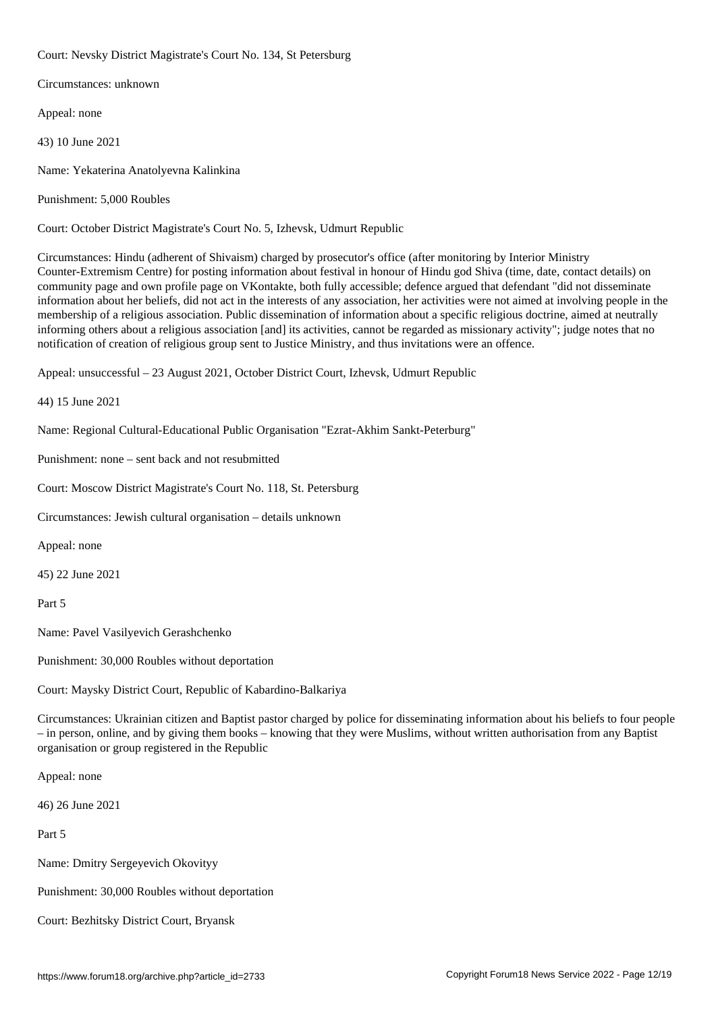Court: Nevsky District Magistrate's Court No. 134, St Petersburg

Circumstances: unknown

Appeal: none

43) 10 June 2021

Name: Yekaterina Anatolyevna Kalinkina

Punishment: 5,000 Roubles

Court: October District Magistrate's Court No. 5, Izhevsk, Udmurt Republic

Circumstances: Hindu (adherent of Shivaism) charged by prosecutor's office (after monitoring by Interior Ministry Counter-Extremism Centre) for posting information about festival in honour of Hindu god Shiva (time, date, contact details) on community page and own profile page on VKontakte, both fully accessible; defence argued that defendant "did not disseminate information about her beliefs, did not act in the interests of any association, her activities were not aimed at involving people in the membership of a religious association. Public dissemination of information about a specific religious doctrine, aimed at neutrally informing others about a religious association [and] its activities, cannot be regarded as missionary activity"; judge notes that no notification of creation of religious group sent to Justice Ministry, and thus invitations were an offence.

Appeal: unsuccessful – 23 August 2021, October District Court, Izhevsk, Udmurt Republic

44) 15 June 2021

Name: Regional Cultural-Educational Public Organisation "Ezrat-Akhim Sankt-Peterburg"

Punishment: none – sent back and not resubmitted

Court: Moscow District Magistrate's Court No. 118, St. Petersburg

Circumstances: Jewish cultural organisation – details unknown

Appeal: none

45) 22 June 2021

Part 5

Name: Pavel Vasilyevich Gerashchenko

Punishment: 30,000 Roubles without deportation

Court: Maysky District Court, Republic of Kabardino-Balkariya

Circumstances: Ukrainian citizen and Baptist pastor charged by police for disseminating information about his beliefs to four people – in person, online, and by giving them books – knowing that they were Muslims, without written authorisation from any Baptist organisation or group registered in the Republic

Appeal: none

46) 26 June 2021

Part 5

Name: Dmitry Sergeyevich Okovityy

Punishment: 30,000 Roubles without deportation

Court: Bezhitsky District Court, Bryansk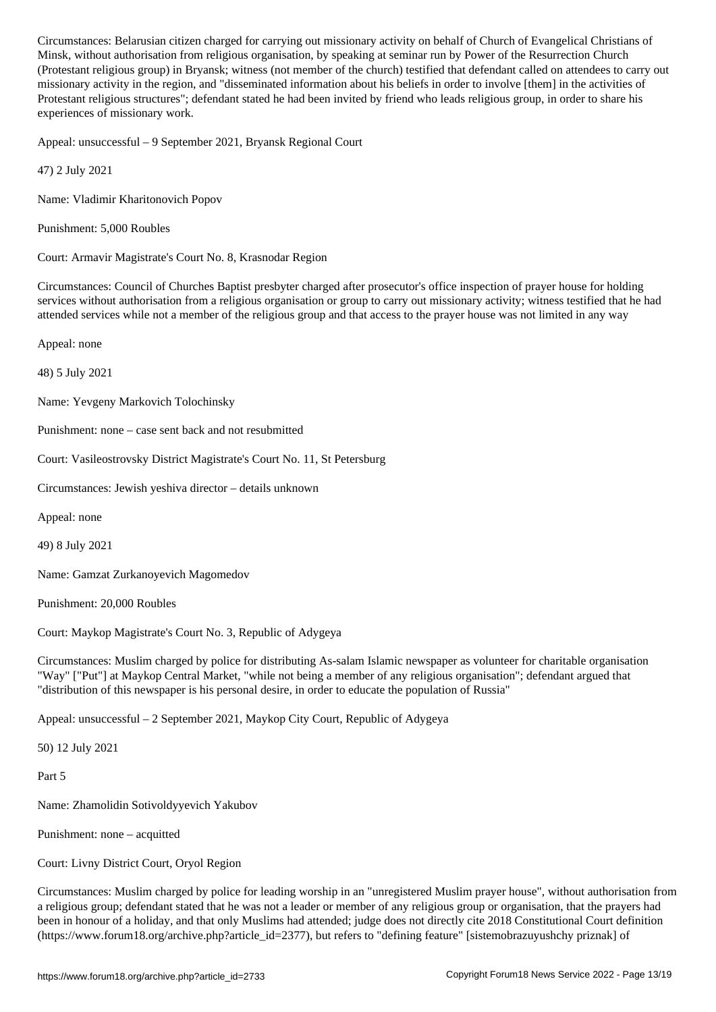, with a view religious organisation from religious organisation, by Power of the Resurrection  $P$ (Protestant religious group) in Bryansk; witness (not member of the church) testified that defendant called on attendees to carry out missionary activity in the region, and "disseminated information about his beliefs in order to involve [them] in the activities of Protestant religious structures"; defendant stated he had been invited by friend who leads religious group, in order to share his experiences of missionary work.

Appeal: unsuccessful – 9 September 2021, Bryansk Regional Court

47) 2 July 2021

Name: Vladimir Kharitonovich Popov

Punishment: 5,000 Roubles

Court: Armavir Magistrate's Court No. 8, Krasnodar Region

Circumstances: Council of Churches Baptist presbyter charged after prosecutor's office inspection of prayer house for holding services without authorisation from a religious organisation or group to carry out missionary activity; witness testified that he had attended services while not a member of the religious group and that access to the prayer house was not limited in any way

Appeal: none

48) 5 July 2021

Name: Yevgeny Markovich Tolochinsky

Punishment: none – case sent back and not resubmitted

Court: Vasileostrovsky District Magistrate's Court No. 11, St Petersburg

Circumstances: Jewish yeshiva director – details unknown

Appeal: none

49) 8 July 2021

Name: Gamzat Zurkanoyevich Magomedov

Punishment: 20,000 Roubles

Court: Maykop Magistrate's Court No. 3, Republic of Adygeya

Circumstances: Muslim charged by police for distributing As-salam Islamic newspaper as volunteer for charitable organisation "Way" ["Put"] at Maykop Central Market, "while not being a member of any religious organisation"; defendant argued that "distribution of this newspaper is his personal desire, in order to educate the population of Russia"

Appeal: unsuccessful – 2 September 2021, Maykop City Court, Republic of Adygeya

50) 12 July 2021

Part 5

Name: Zhamolidin Sotivoldyyevich Yakubov

Punishment: none – acquitted

Court: Livny District Court, Oryol Region

Circumstances: Muslim charged by police for leading worship in an "unregistered Muslim prayer house", without authorisation from a religious group; defendant stated that he was not a leader or member of any religious group or organisation, that the prayers had been in honour of a holiday, and that only Muslims had attended; judge does not directly cite 2018 Constitutional Court definition (https://www.forum18.org/archive.php?article\_id=2377), but refers to "defining feature" [sistemobrazuyushchy priznak] of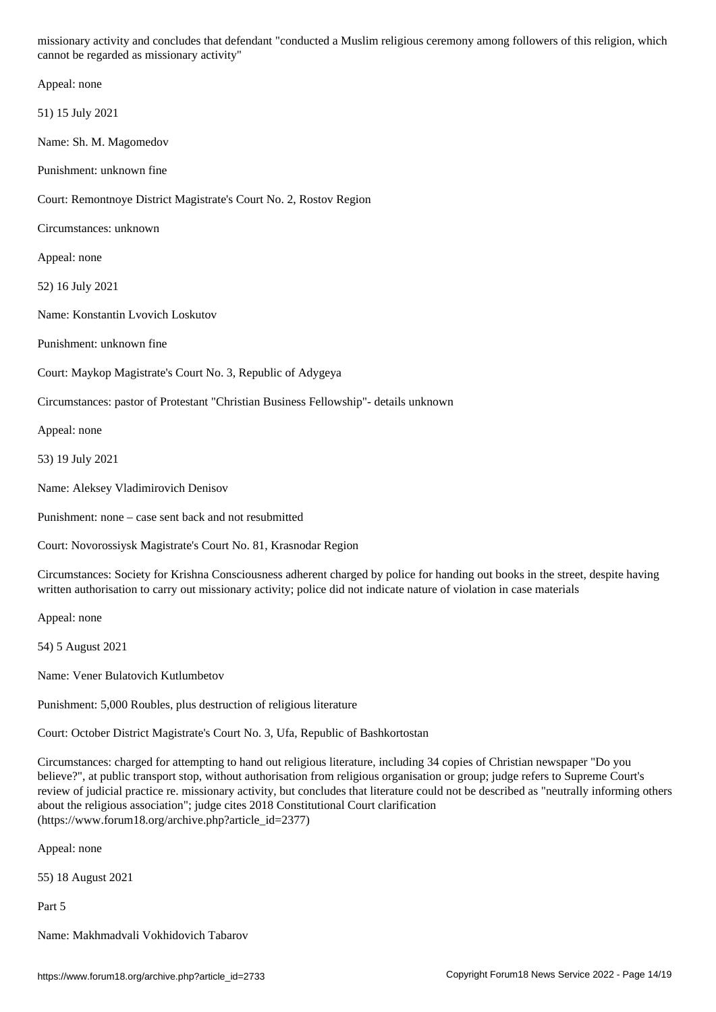cannot be regarded as missionary activity" Appeal: none 51) 15 July 2021 Name: Sh. M. Magomedov Punishment: unknown fine Court: Remontnoye District Magistrate's Court No. 2, Rostov Region Circumstances: unknown Appeal: none 52) 16 July 2021 Name: Konstantin Lvovich Loskutov Punishment: unknown fine Court: Maykop Magistrate's Court No. 3, Republic of Adygeya Circumstances: pastor of Protestant "Christian Business Fellowship"- details unknown Appeal: none 53) 19 July 2021 Name: Aleksey Vladimirovich Denisov Punishment: none – case sent back and not resubmitted Court: Novorossiysk Magistrate's Court No. 81, Krasnodar Region Circumstances: Society for Krishna Consciousness adherent charged by police for handing out books in the street, despite having written authorisation to carry out missionary activity; police did not indicate nature of violation in case materials Appeal: none 54) 5 August 2021

Name: Vener Bulatovich Kutlumbetov

Punishment: 5,000 Roubles, plus destruction of religious literature

Court: October District Magistrate's Court No. 3, Ufa, Republic of Bashkortostan

Circumstances: charged for attempting to hand out religious literature, including 34 copies of Christian newspaper "Do you believe?", at public transport stop, without authorisation from religious organisation or group; judge refers to Supreme Court's review of judicial practice re. missionary activity, but concludes that literature could not be described as "neutrally informing others about the religious association"; judge cites 2018 Constitutional Court clarification (https://www.forum18.org/archive.php?article\_id=2377)

Appeal: none

55) 18 August 2021

Part 5

Name: Makhmadvali Vokhidovich Tabarov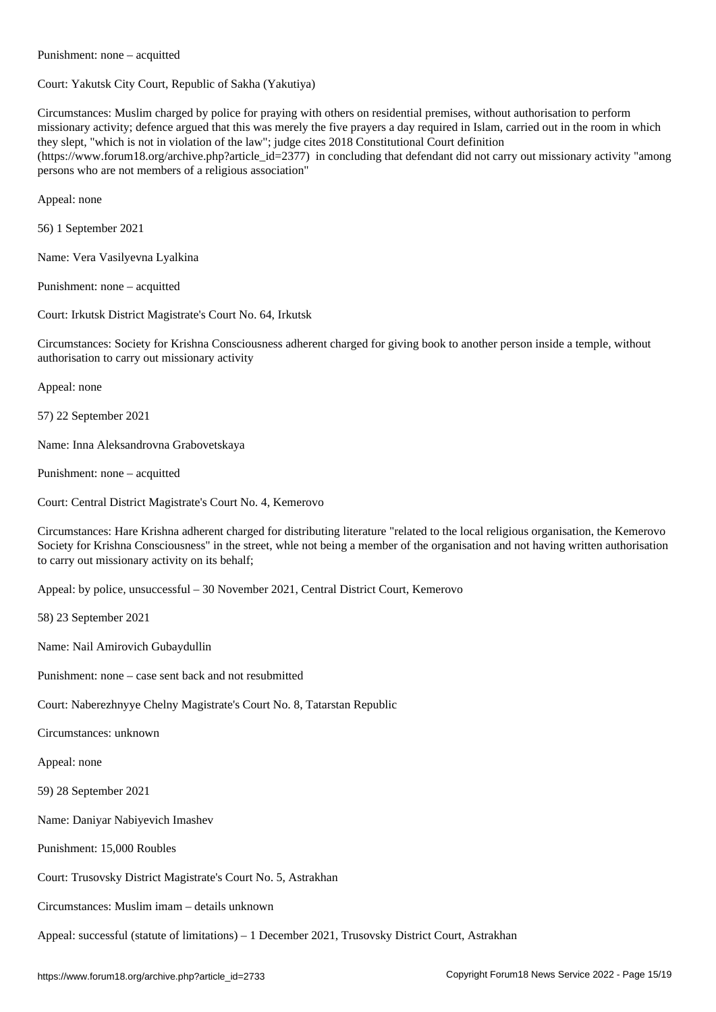Court: Yakutsk City Court, Republic of Sakha (Yakutiya)

Circumstances: Muslim charged by police for praying with others on residential premises, without authorisation to perform missionary activity; defence argued that this was merely the five prayers a day required in Islam, carried out in the room in which they slept, "which is not in violation of the law"; judge cites 2018 Constitutional Court definition (https://www.forum18.org/archive.php?article\_id=2377) in concluding that defendant did not carry out missionary activity "among persons who are not members of a religious association"

Appeal: none

56) 1 September 2021

Name: Vera Vasilyevna Lyalkina

Punishment: none – acquitted

Punishment: none – acquitted

Court: Irkutsk District Magistrate's Court No. 64, Irkutsk

Circumstances: Society for Krishna Consciousness adherent charged for giving book to another person inside a temple, without authorisation to carry out missionary activity

Appeal: none

57) 22 September 2021

Name: Inna Aleksandrovna Grabovetskaya

Punishment: none – acquitted

Court: Central District Magistrate's Court No. 4, Kemerovo

Circumstances: Hare Krishna adherent charged for distributing literature "related to the local religious organisation, the Kemerovo Society for Krishna Consciousness" in the street, whle not being a member of the organisation and not having written authorisation to carry out missionary activity on its behalf;

Appeal: by police, unsuccessful – 30 November 2021, Central District Court, Kemerovo

58) 23 September 2021

Name: Nail Amirovich Gubaydullin

Punishment: none – case sent back and not resubmitted

Court: Naberezhnyye Chelny Magistrate's Court No. 8, Tatarstan Republic

Circumstances: unknown

Appeal: none

59) 28 September 2021

Name: Daniyar Nabiyevich Imashev

Punishment: 15,000 Roubles

Court: Trusovsky District Magistrate's Court No. 5, Astrakhan

Circumstances: Muslim imam – details unknown

Appeal: successful (statute of limitations) – 1 December 2021, Trusovsky District Court, Astrakhan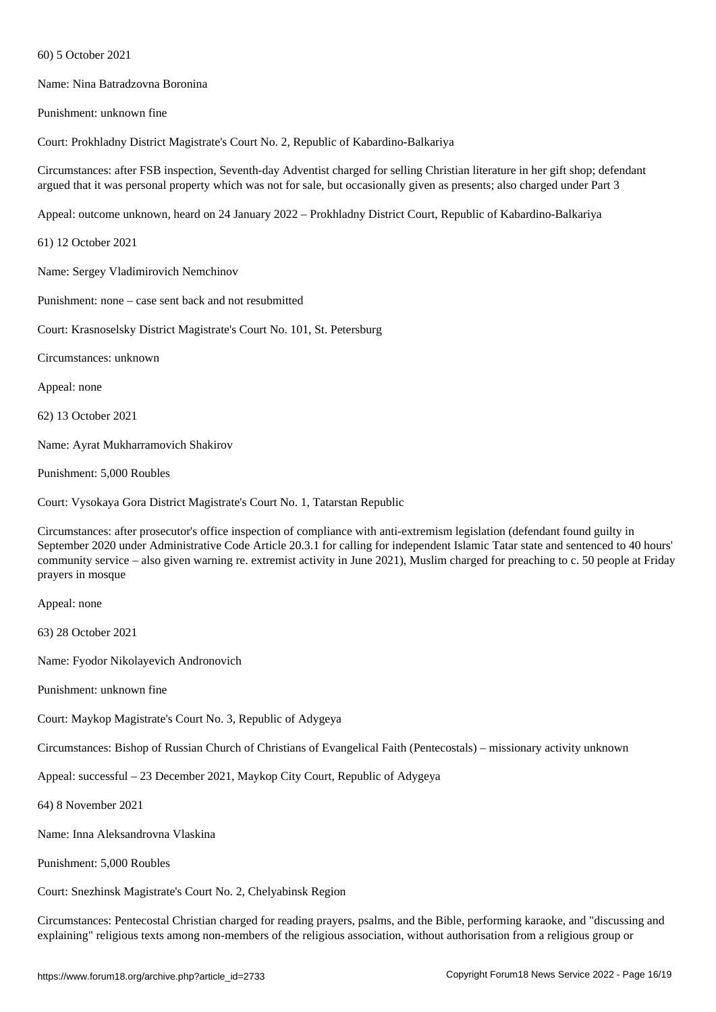Name: Nina Batradzovna Boronina

Punishment: unknown fine

 $\mathcal{F}$ 

Court: Prokhladny District Magistrate's Court No. 2, Republic of Kabardino-Balkariya

Circumstances: after FSB inspection, Seventh-day Adventist charged for selling Christian literature in her gift shop; defendant argued that it was personal property which was not for sale, but occasionally given as presents; also charged under Part 3

Appeal: outcome unknown, heard on 24 January 2022 – Prokhladny District Court, Republic of Kabardino-Balkariya

61) 12 October 2021

Name: Sergey Vladimirovich Nemchinov

Punishment: none – case sent back and not resubmitted

Court: Krasnoselsky District Magistrate's Court No. 101, St. Petersburg

Circumstances: unknown

Appeal: none

62) 13 October 2021

Name: Ayrat Mukharramovich Shakirov

Punishment: 5,000 Roubles

Court: Vysokaya Gora District Magistrate's Court No. 1, Tatarstan Republic

Circumstances: after prosecutor's office inspection of compliance with anti-extremism legislation (defendant found guilty in September 2020 under Administrative Code Article 20.3.1 for calling for independent Islamic Tatar state and sentenced to 40 hours' community service – also given warning re. extremist activity in June 2021), Muslim charged for preaching to c. 50 people at Friday prayers in mosque

Appeal: none

63) 28 October 2021

Name: Fyodor Nikolayevich Andronovich

Punishment: unknown fine

Court: Maykop Magistrate's Court No. 3, Republic of Adygeya

Circumstances: Bishop of Russian Church of Christians of Evangelical Faith (Pentecostals) – missionary activity unknown

Appeal: successful – 23 December 2021, Maykop City Court, Republic of Adygeya

64) 8 November 2021

Name: Inna Aleksandrovna Vlaskina

Punishment: 5,000 Roubles

Court: Snezhinsk Magistrate's Court No. 2, Chelyabinsk Region

Circumstances: Pentecostal Christian charged for reading prayers, psalms, and the Bible, performing karaoke, and "discussing and explaining" religious texts among non-members of the religious association, without authorisation from a religious group or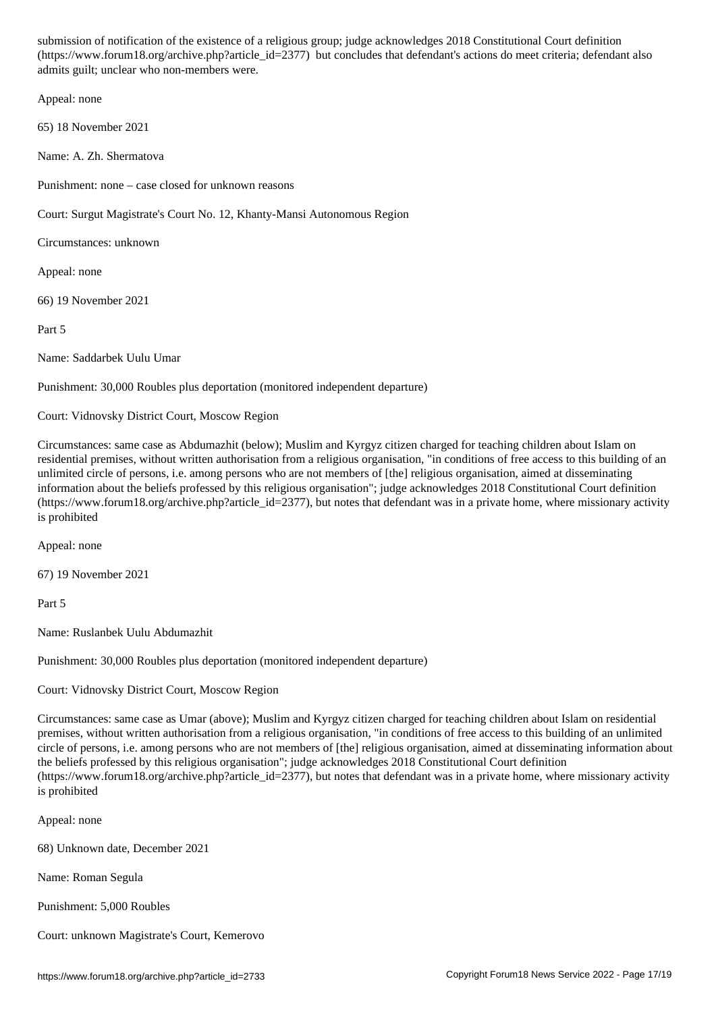$\mathcal{C}$ admits guilt; unclear who non-members were.

Appeal: none

65) 18 November 2021

Name: A. Zh. Shermatova

Punishment: none – case closed for unknown reasons

Court: Surgut Magistrate's Court No. 12, Khanty-Mansi Autonomous Region

Circumstances: unknown

Appeal: none

66) 19 November 2021

Part 5

Name: Saddarbek Uulu Umar

Punishment: 30,000 Roubles plus deportation (monitored independent departure)

Court: Vidnovsky District Court, Moscow Region

Circumstances: same case as Abdumazhit (below); Muslim and Kyrgyz citizen charged for teaching children about Islam on residential premises, without written authorisation from a religious organisation, "in conditions of free access to this building of an unlimited circle of persons, i.e. among persons who are not members of [the] religious organisation, aimed at disseminating information about the beliefs professed by this religious organisation"; judge acknowledges 2018 Constitutional Court definition (https://www.forum18.org/archive.php?article\_id=2377), but notes that defendant was in a private home, where missionary activity is prohibited

Appeal: none

67) 19 November 2021

Part 5

Name: Ruslanbek Uulu Abdumazhit

Punishment: 30,000 Roubles plus deportation (monitored independent departure)

Court: Vidnovsky District Court, Moscow Region

Circumstances: same case as Umar (above); Muslim and Kyrgyz citizen charged for teaching children about Islam on residential premises, without written authorisation from a religious organisation, "in conditions of free access to this building of an unlimited circle of persons, i.e. among persons who are not members of [the] religious organisation, aimed at disseminating information about the beliefs professed by this religious organisation"; judge acknowledges 2018 Constitutional Court definition (https://www.forum18.org/archive.php?article\_id=2377), but notes that defendant was in a private home, where missionary activity is prohibited

Appeal: none

68) Unknown date, December 2021

Name: Roman Segula

Punishment: 5,000 Roubles

Court: unknown Magistrate's Court, Kemerovo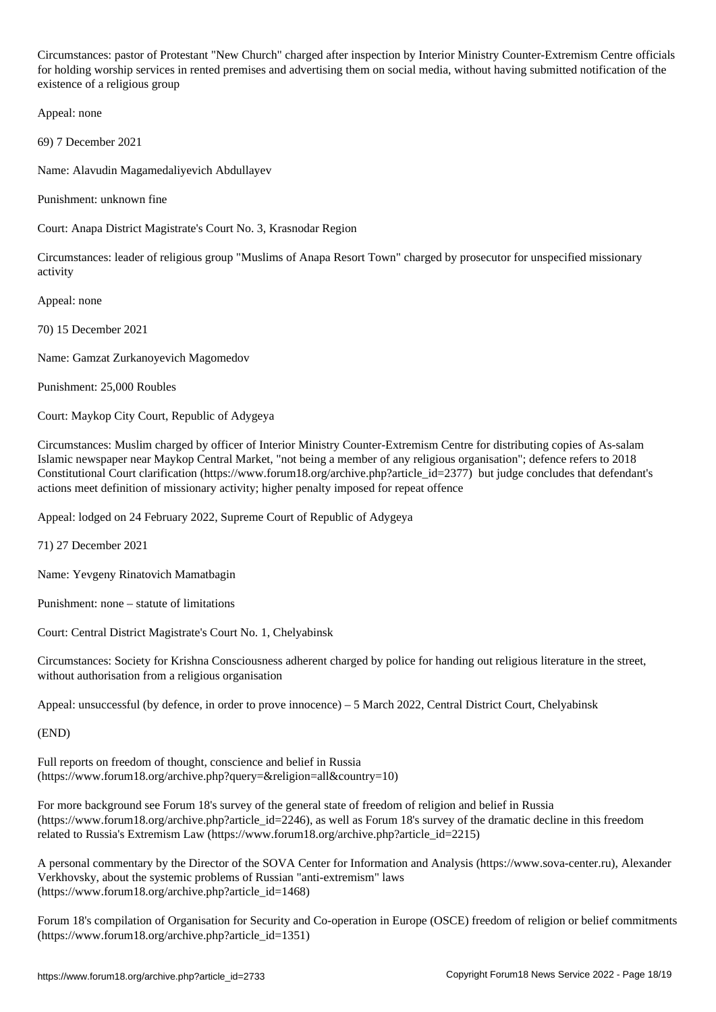Circumstances: pastor of Protestant "New Church" charged after inspection by Interior Ministry Counter-Extremism Centre officials for holding worship services in rented premises and advertising them on social media, without having submitted notification of the existence of a religious group

Appeal: none

69) 7 December 2021

Name: Alavudin Magamedaliyevich Abdullayev

Punishment: unknown fine

Court: Anapa District Magistrate's Court No. 3, Krasnodar Region

Circumstances: leader of religious group "Muslims of Anapa Resort Town" charged by prosecutor for unspecified missionary activity

Appeal: none

70) 15 December 2021

Name: Gamzat Zurkanoyevich Magomedov

Punishment: 25,000 Roubles

Court: Maykop City Court, Republic of Adygeya

Circumstances: Muslim charged by officer of Interior Ministry Counter-Extremism Centre for distributing copies of As-salam Islamic newspaper near Maykop Central Market, "not being a member of any religious organisation"; defence refers to 2018 Constitutional Court clarification (https://www.forum18.org/archive.php?article\_id=2377) but judge concludes that defendant's actions meet definition of missionary activity; higher penalty imposed for repeat offence

Appeal: lodged on 24 February 2022, Supreme Court of Republic of Adygeya

71) 27 December 2021

Name: Yevgeny Rinatovich Mamatbagin

Punishment: none – statute of limitations

Court: Central District Magistrate's Court No. 1, Chelyabinsk

Circumstances: Society for Krishna Consciousness adherent charged by police for handing out religious literature in the street, without authorisation from a religious organisation

Appeal: unsuccessful (by defence, in order to prove innocence) – 5 March 2022, Central District Court, Chelyabinsk

(END)

Full reports on freedom of thought, conscience and belief in Russia (https://www.forum18.org/archive.php?query=&religion=all&country=10)

For more background see Forum 18's survey of the general state of freedom of religion and belief in Russia (https://www.forum18.org/archive.php?article\_id=2246), as well as Forum 18's survey of the dramatic decline in this freedom related to Russia's Extremism Law (https://www.forum18.org/archive.php?article\_id=2215)

A personal commentary by the Director of the SOVA Center for Information and Analysis (https://www.sova-center.ru), Alexander Verkhovsky, about the systemic problems of Russian "anti-extremism" laws (https://www.forum18.org/archive.php?article\_id=1468)

Forum 18's compilation of Organisation for Security and Co-operation in Europe (OSCE) freedom of religion or belief commitments (https://www.forum18.org/archive.php?article\_id=1351)